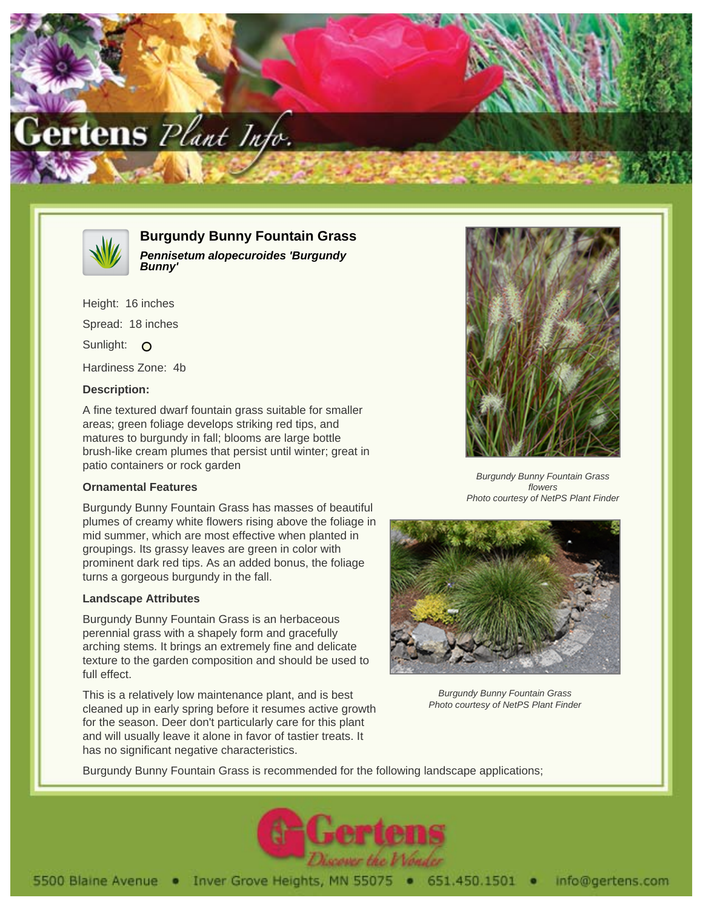



**Burgundy Bunny Fountain Grass Pennisetum alopecuroides 'Burgundy Bunny'**

Height: 16 inches Spread: 18 inches Sunlight: O Hardiness Zone: 4b

# **Description:**

A fine textured dwarf fountain grass suitable for smaller areas; green foliage develops striking red tips, and matures to burgundy in fall; blooms are large bottle brush-like cream plumes that persist until winter; great in patio containers or rock garden

### **Ornamental Features**

Burgundy Bunny Fountain Grass has masses of beautiful plumes of creamy white flowers rising above the foliage in mid summer, which are most effective when planted in groupings. Its grassy leaves are green in color with prominent dark red tips. As an added bonus, the foliage turns a gorgeous burgundy in the fall.

#### **Landscape Attributes**

Burgundy Bunny Fountain Grass is an herbaceous perennial grass with a shapely form and gracefully arching stems. It brings an extremely fine and delicate texture to the garden composition and should be used to full effect.

This is a relatively low maintenance plant, and is best cleaned up in early spring before it resumes active growth for the season. Deer don't particularly care for this plant and will usually leave it alone in favor of tastier treats. It has no significant negative characteristics.



Burgundy Bunny Fountain Grass flowers Photo courtesy of NetPS Plant Finder



Burgundy Bunny Fountain Grass Photo courtesy of NetPS Plant Finder

Burgundy Bunny Fountain Grass is recommended for the following landscape applications;